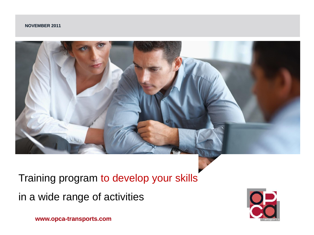#### **NOVEMBER 2011**



Training program to develop your skills in a wide range of activities



**www.opca-transports.com**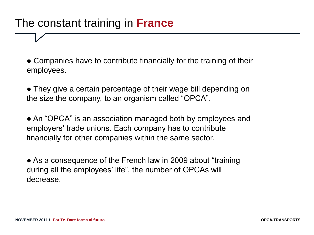### The constant training in **France**

• Companies have to contribute financially for the training of their employees.

• They give a certain percentage of their wage bill depending on the size the company, to an organism called "OPCA".

• An "OPCA" is an association managed both by employees and employers' trade unions. Each company has to contribute financially for other companies within the same sector.

• As a consequence of the French law in 2009 about "training" during all the employees' life", the number of OPCAs will decrease.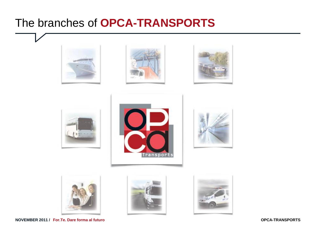## The branches of **OPCA-TRANSPORTS**



















**NOVEMBER 2011 / For.Te. Dare forma al futuro**

**OPCA-TRANSPORTS**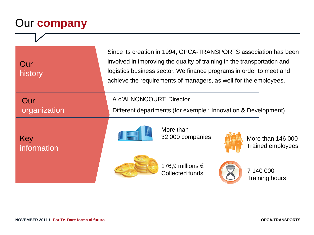# Our **company**

| Our<br>history      | Since its creation in 1994, OPCA-TRANSPORTS association has been<br>involved in improving the quality of training in the transportation and<br>logistics business sector. We finance programs in order to meet and<br>achieve the requirements of managers, as well for the employees. |                                            |  |                                               |
|---------------------|----------------------------------------------------------------------------------------------------------------------------------------------------------------------------------------------------------------------------------------------------------------------------------------|--------------------------------------------|--|-----------------------------------------------|
| Our<br>organization | A.d'ALNONCOURT, Director<br>Different departments (for exemple : Innovation & Development)                                                                                                                                                                                             |                                            |  |                                               |
| Key<br>information  |                                                                                                                                                                                                                                                                                        | More than<br>32 000 companies              |  | More than 146 000<br><b>Trained employees</b> |
|                     |                                                                                                                                                                                                                                                                                        | 176,9 millions €<br><b>Collected funds</b> |  | 7 140 000<br><b>Training hours</b>            |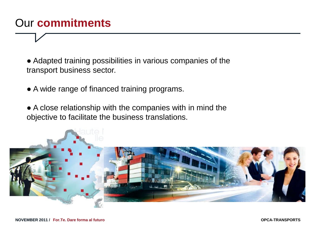## Our **commitments**

• Adapted training possibilities in various companies of the transport business sector.

• A wide range of financed training programs.

• A close relationship with the companies with in mind the objective to facilitate the business translations.